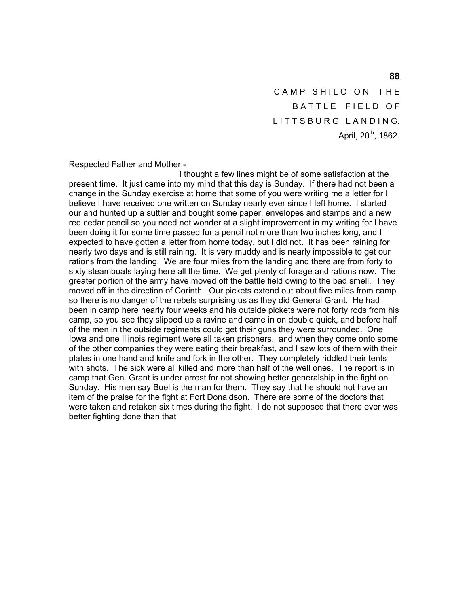CAMP SHILO ON THE BATTLE FIELD OF LITTSBURG LANDING. April,  $20^{th}$ , 1862.

Respected Father and Mother:-

 I thought a few lines might be of some satisfaction at the present time. It just came into my mind that this day is Sunday. If there had not been a change in the Sunday exercise at home that some of you were writing me a letter for I believe I have received one written on Sunday nearly ever since I left home. I started our and hunted up a suttler and bought some paper, envelopes and stamps and a new red cedar pencil so you need not wonder at a slight improvement in my writing for I have been doing it for some time passed for a pencil not more than two inches long, and I expected to have gotten a letter from home today, but I did not. It has been raining for nearly two days and is still raining. It is very muddy and is nearly impossible to get our rations from the landing. We are four miles from the landing and there are from forty to sixty steamboats laying here all the time. We get plenty of forage and rations now. The greater portion of the army have moved off the battle field owing to the bad smell. They moved off in the direction of Corinth. Our pickets extend out about five miles from camp so there is no danger of the rebels surprising us as they did General Grant. He had been in camp here nearly four weeks and his outside pickets were not forty rods from his camp, so you see they slipped up a ravine and came in on double quick, and before half of the men in the outside regiments could get their guns they were surrounded. One Iowa and one Illinois regiment were all taken prisoners. and when they come onto some of the other companies they were eating their breakfast, and I saw lots of them with their plates in one hand and knife and fork in the other. They completely riddled their tents with shots. The sick were all killed and more than half of the well ones. The report is in camp that Gen. Grant is under arrest for not showing better generalship in the fight on Sunday. His men say Buel is the man for them. They say that he should not have an item of the praise for the fight at Fort Donaldson. There are some of the doctors that were taken and retaken six times during the fight. I do not supposed that there ever was better fighting done than that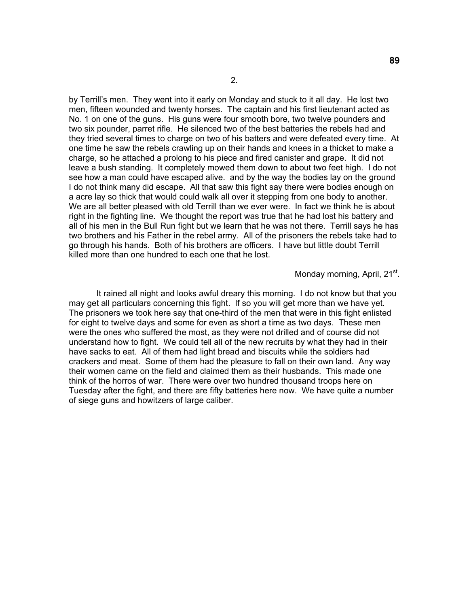by Terrill's men. They went into it early on Monday and stuck to it all day. He lost two men, fifteen wounded and twenty horses. The captain and his first lieutenant acted as No. 1 on one of the guns. His guns were four smooth bore, two twelve pounders and two six pounder, parret rifle. He silenced two of the best batteries the rebels had and they tried several times to charge on two of his batters and were defeated every time. At one time he saw the rebels crawling up on their hands and knees in a thicket to make a charge, so he attached a prolong to his piece and fired canister and grape. It did not leave a bush standing. It completely mowed them down to about two feet high. I do not see how a man could have escaped alive. and by the way the bodies lay on the ground I do not think many did escape. All that saw this fight say there were bodies enough on a acre lay so thick that would could walk all over it stepping from one body to another. We are all better pleased with old Terrill than we ever were. In fact we think he is about right in the fighting line. We thought the report was true that he had lost his battery and all of his men in the Bull Run fight but we learn that he was not there. Terrill says he has two brothers and his Father in the rebel army. All of the prisoners the rebels take had to go through his hands. Both of his brothers are officers. I have but little doubt Terrill killed more than one hundred to each one that he lost.

### Monday morning, April, 21<sup>st</sup>.

 It rained all night and looks awful dreary this morning. I do not know but that you may get all particulars concerning this fight. If so you will get more than we have yet. The prisoners we took here say that one-third of the men that were in this fight enlisted for eight to twelve days and some for even as short a time as two days. These men were the ones who suffered the most, as they were not drilled and of course did not understand how to fight. We could tell all of the new recruits by what they had in their have sacks to eat. All of them had light bread and biscuits while the soldiers had crackers and meat. Some of them had the pleasure to fall on their own land. Any way their women came on the field and claimed them as their husbands. This made one think of the horros of war. There were over two hundred thousand troops here on Tuesday after the fight, and there are fifty batteries here now. We have quite a number of siege guns and howitzers of large caliber.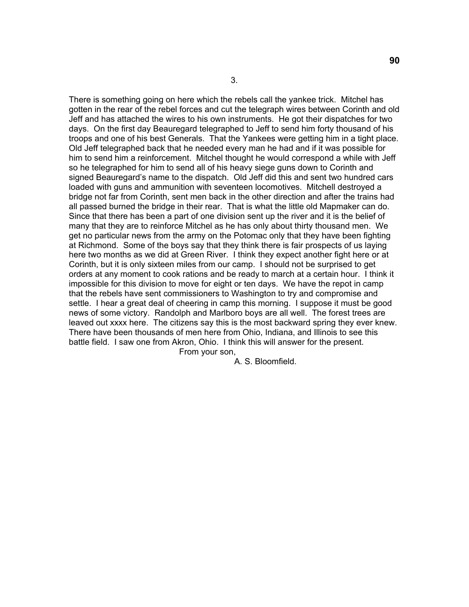There is something going on here which the rebels call the yankee trick. Mitchel has gotten in the rear of the rebel forces and cut the telegraph wires between Corinth and old Jeff and has attached the wires to his own instruments. He got their dispatches for two days. On the first day Beauregard telegraphed to Jeff to send him forty thousand of his troops and one of his best Generals. That the Yankees were getting him in a tight place. Old Jeff telegraphed back that he needed every man he had and if it was possible for him to send him a reinforcement. Mitchel thought he would correspond a while with Jeff so he telegraphed for him to send all of his heavy siege guns down to Corinth and signed Beauregard's name to the dispatch. Old Jeff did this and sent two hundred cars loaded with guns and ammunition with seventeen locomotives. Mitchell destroyed a bridge not far from Corinth, sent men back in the other direction and after the trains had all passed burned the bridge in their rear. That is what the little old Mapmaker can do. Since that there has been a part of one division sent up the river and it is the belief of many that they are to reinforce Mitchel as he has only about thirty thousand men. We get no particular news from the army on the Potomac only that they have been fighting at Richmond. Some of the boys say that they think there is fair prospects of us laying here two months as we did at Green River. I think they expect another fight here or at Corinth, but it is only sixteen miles from our camp. I should not be surprised to get orders at any moment to cook rations and be ready to march at a certain hour. I think it impossible for this division to move for eight or ten days. We have the repot in camp that the rebels have sent commissioners to Washington to try and compromise and settle. I hear a great deal of cheering in camp this morning. I suppose it must be good news of some victory. Randolph and Marlboro boys are all well. The forest trees are leaved out xxxx here. The citizens say this is the most backward spring they ever knew. There have been thousands of men here from Ohio, Indiana, and Illinois to see this battle field. I saw one from Akron, Ohio. I think this will answer for the present. From your son,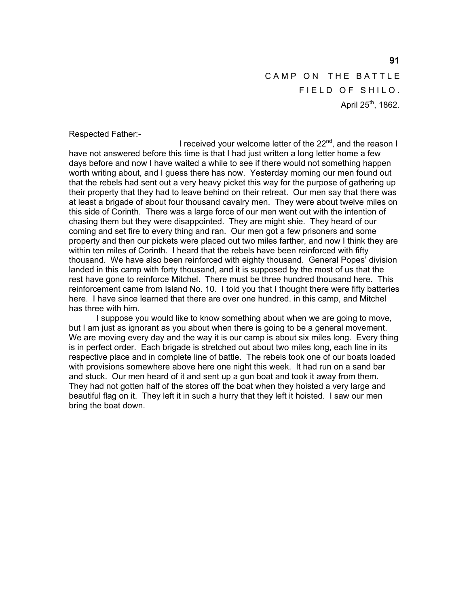CAMP ON THE BATTLE FIELD OF SHILO. April  $25^{th}$ , 1862.

Respected Father:-

I received your welcome letter of the  $22<sup>nd</sup>$ , and the reason I have not answered before this time is that I had just written a long letter home a few days before and now I have waited a while to see if there would not something happen worth writing about, and I guess there has now. Yesterday morning our men found out that the rebels had sent out a very heavy picket this way for the purpose of gathering up their property that they had to leave behind on their retreat. Our men say that there was at least a brigade of about four thousand cavalry men. They were about twelve miles on this side of Corinth. There was a large force of our men went out with the intention of chasing them but they were disappointed. They are might shie. They heard of our coming and set fire to every thing and ran. Our men got a few prisoners and some property and then our pickets were placed out two miles farther, and now I think they are within ten miles of Corinth. I heard that the rebels have been reinforced with fifty thousand. We have also been reinforced with eighty thousand. General Popes' division landed in this camp with forty thousand, and it is supposed by the most of us that the rest have gone to reinforce Mitchel. There must be three hundred thousand here. This reinforcement came from Island No. 10. I told you that I thought there were fifty batteries here. I have since learned that there are over one hundred. in this camp, and Mitchel has three with him.

 I suppose you would like to know something about when we are going to move, but I am just as ignorant as you about when there is going to be a general movement. We are moving every day and the way it is our camp is about six miles long. Every thing is in perfect order. Each brigade is stretched out about two miles long, each line in its respective place and in complete line of battle. The rebels took one of our boats loaded with provisions somewhere above here one night this week. It had run on a sand bar and stuck. Our men heard of it and sent up a gun boat and took it away from them. They had not gotten half of the stores off the boat when they hoisted a very large and beautiful flag on it. They left it in such a hurry that they left it hoisted. I saw our men bring the boat down.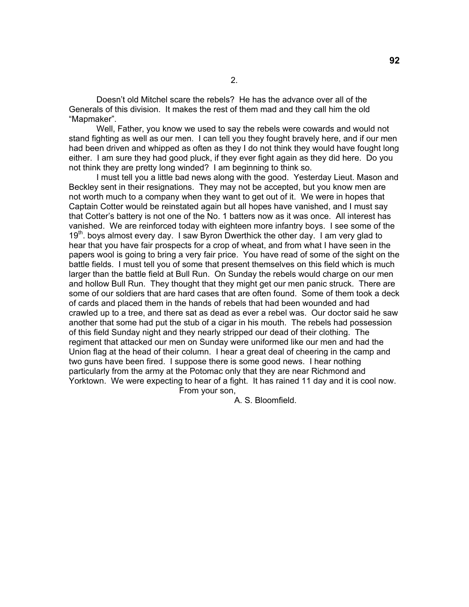Doesn't old Mitchel scare the rebels? He has the advance over all of the Generals of this division. It makes the rest of them mad and they call him the old "Mapmaker".

 Well, Father, you know we used to say the rebels were cowards and would not stand fighting as well as our men. I can tell you they fought bravely here, and if our men had been driven and whipped as often as they I do not think they would have fought long either. I am sure they had good pluck, if they ever fight again as they did here. Do you not think they are pretty long winded? I am beginning to think so.

 I must tell you a little bad news along with the good. Yesterday Lieut. Mason and Beckley sent in their resignations. They may not be accepted, but you know men are not worth much to a company when they want to get out of it. We were in hopes that Captain Cotter would be reinstated again but all hopes have vanished, and I must say that Cotter's battery is not one of the No. 1 batters now as it was once. All interest has vanished. We are reinforced today with eighteen more infantry boys. I see some of the  $19<sup>th</sup>$ . boys almost every day. I saw Byron Dwerthick the other day. I am very glad to hear that you have fair prospects for a crop of wheat, and from what I have seen in the papers wool is going to bring a very fair price. You have read of some of the sight on the battle fields. I must tell you of some that present themselves on this field which is much larger than the battle field at Bull Run. On Sunday the rebels would charge on our men and hollow Bull Run. They thought that they might get our men panic struck. There are some of our soldiers that are hard cases that are often found. Some of them took a deck of cards and placed them in the hands of rebels that had been wounded and had crawled up to a tree, and there sat as dead as ever a rebel was. Our doctor said he saw another that some had put the stub of a cigar in his mouth. The rebels had possession of this field Sunday night and they nearly stripped our dead of their clothing. The regiment that attacked our men on Sunday were uniformed like our men and had the Union flag at the head of their column. I hear a great deal of cheering in the camp and two guns have been fired. I suppose there is some good news. I hear nothing particularly from the army at the Potomac only that they are near Richmond and Yorktown. We were expecting to hear of a fight. It has rained 11 day and it is cool now. From your son,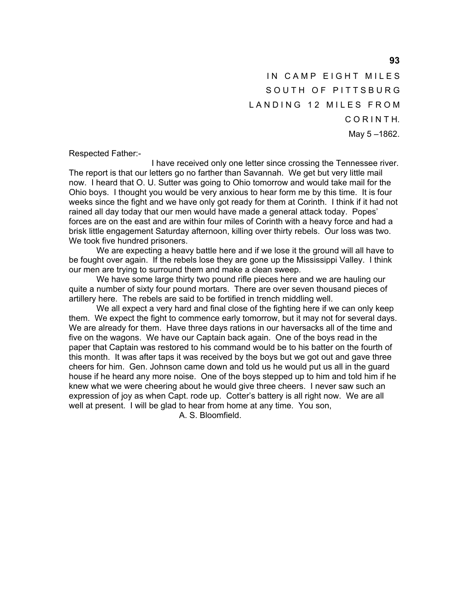IN CAMP EIGHT MILES SOUTH OF PITTSBURG LANDING 12 MILES FROM C O R I N T H. May 5 –1862.

Respected Father:-

 I have received only one letter since crossing the Tennessee river. The report is that our letters go no farther than Savannah. We get but very little mail now. I heard that O. U. Sutter was going to Ohio tomorrow and would take mail for the Ohio boys. I thought you would be very anxious to hear form me by this time. It is four weeks since the fight and we have only got ready for them at Corinth. I think if it had not rained all day today that our men would have made a general attack today. Popes' forces are on the east and are within four miles of Corinth with a heavy force and had a brisk little engagement Saturday afternoon, killing over thirty rebels. Our loss was two. We took five hundred prisoners.

 We are expecting a heavy battle here and if we lose it the ground will all have to be fought over again. If the rebels lose they are gone up the Mississippi Valley. I think our men are trying to surround them and make a clean sweep.

 We have some large thirty two pound rifle pieces here and we are hauling our quite a number of sixty four pound mortars. There are over seven thousand pieces of artillery here. The rebels are said to be fortified in trench middling well.

We all expect a very hard and final close of the fighting here if we can only keep them. We expect the fight to commence early tomorrow, but it may not for several days. We are already for them. Have three days rations in our haversacks all of the time and five on the wagons. We have our Captain back again. One of the boys read in the paper that Captain was restored to his command would be to his batter on the fourth of this month. It was after taps it was received by the boys but we got out and gave three cheers for him. Gen. Johnson came down and told us he would put us all in the guard house if he heard any more noise. One of the boys stepped up to him and told him if he knew what we were cheering about he would give three cheers. I never saw such an expression of joy as when Capt. rode up. Cotter's battery is all right now. We are all well at present. I will be glad to hear from home at any time. You son,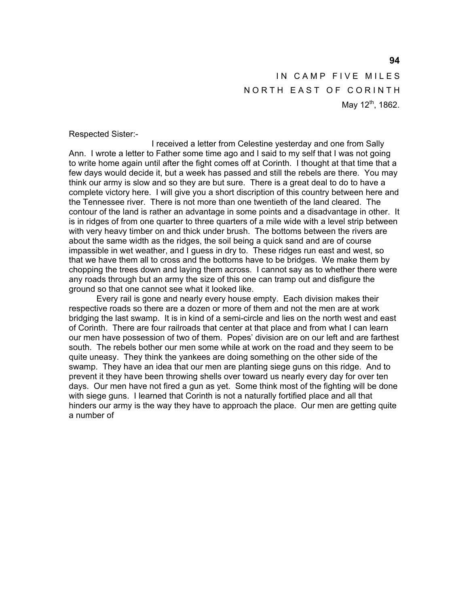IN CAMP FIVE MILES NORTH EAST OF CORINTH May  $12^{th}$ , 1862.

Respected Sister:-

 I received a letter from Celestine yesterday and one from Sally Ann. I wrote a letter to Father some time ago and I said to my self that I was not going to write home again until after the fight comes off at Corinth. I thought at that time that a few days would decide it, but a week has passed and still the rebels are there. You may think our army is slow and so they are but sure. There is a great deal to do to have a complete victory here. I will give you a short discription of this country between here and the Tennessee river. There is not more than one twentieth of the land cleared. The contour of the land is rather an advantage in some points and a disadvantage in other. It is in ridges of from one quarter to three quarters of a mile wide with a level strip between with very heavy timber on and thick under brush. The bottoms between the rivers are about the same width as the ridges, the soil being a quick sand and are of course impassible in wet weather, and I guess in dry to. These ridges run east and west, so that we have them all to cross and the bottoms have to be bridges. We make them by chopping the trees down and laying them across. I cannot say as to whether there were any roads through but an army the size of this one can tramp out and disfigure the ground so that one cannot see what it looked like.

 Every rail is gone and nearly every house empty. Each division makes their respective roads so there are a dozen or more of them and not the men are at work bridging the last swamp. It is in kind of a semi-circle and lies on the north west and east of Corinth. There are four railroads that center at that place and from what I can learn our men have possession of two of them. Popes' division are on our left and are farthest south. The rebels bother our men some while at work on the road and they seem to be quite uneasy. They think the yankees are doing something on the other side of the swamp. They have an idea that our men are planting siege guns on this ridge. And to prevent it they have been throwing shells over toward us nearly every day for over ten days. Our men have not fired a gun as yet. Some think most of the fighting will be done with siege guns. I learned that Corinth is not a naturally fortified place and all that hinders our army is the way they have to approach the place. Our men are getting quite a number of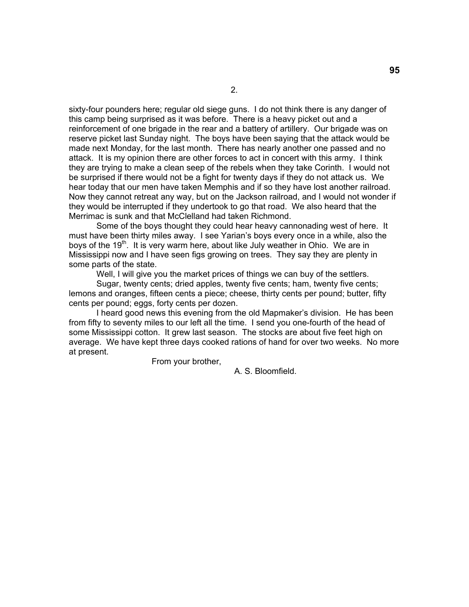sixty-four pounders here; regular old siege guns. I do not think there is any danger of this camp being surprised as it was before. There is a heavy picket out and a reinforcement of one brigade in the rear and a battery of artillery. Our brigade was on reserve picket last Sunday night. The boys have been saying that the attack would be made next Monday, for the last month. There has nearly another one passed and no attack. It is my opinion there are other forces to act in concert with this army. I think they are trying to make a clean seep of the rebels when they take Corinth. I would not be surprised if there would not be a fight for twenty days if they do not attack us. We hear today that our men have taken Memphis and if so they have lost another railroad. Now they cannot retreat any way, but on the Jackson railroad, and I would not wonder if they would be interrupted if they undertook to go that road. We also heard that the Merrimac is sunk and that McClelland had taken Richmond.

 Some of the boys thought they could hear heavy cannonading west of here. It must have been thirty miles away. I see Yarian's boys every once in a while, also the boys of the 19<sup>th</sup>. It is very warm here, about like July weather in Ohio. We are in Mississippi now and I have seen figs growing on trees. They say they are plenty in some parts of the state.

Well, I will give you the market prices of things we can buy of the settlers.

 Sugar, twenty cents; dried apples, twenty five cents; ham, twenty five cents; lemons and oranges, fifteen cents a piece; cheese, thirty cents per pound; butter, fifty cents per pound; eggs, forty cents per dozen.

 I heard good news this evening from the old Mapmaker's division. He has been from fifty to seventy miles to our left all the time. I send you one-fourth of the head of some Mississippi cotton. It grew last season. The stocks are about five feet high on average. We have kept three days cooked rations of hand for over two weeks. No more at present.

From your brother,

A. S. Bloomfield.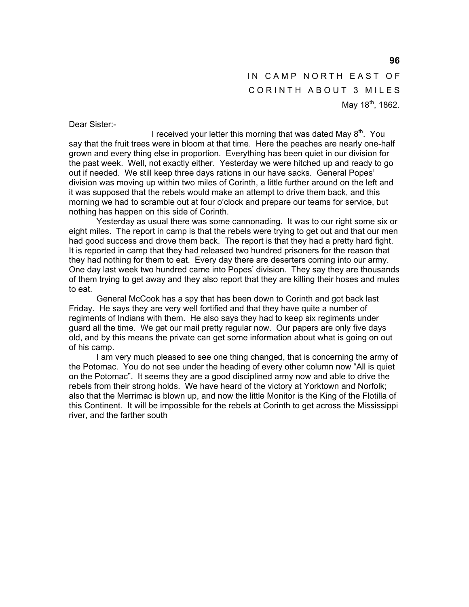# IN CAMP NORTH EAST OF CORINTH ABOUT 3 MILES May  $18^{th}$ , 1862.

Dear Sister:-

I received your letter this morning that was dated May  $8<sup>th</sup>$ . You say that the fruit trees were in bloom at that time. Here the peaches are nearly one-half grown and every thing else in proportion. Everything has been quiet in our division for the past week. Well, not exactly either. Yesterday we were hitched up and ready to go out if needed. We still keep three days rations in our have sacks. General Popes' division was moving up within two miles of Corinth, a little further around on the left and it was supposed that the rebels would make an attempt to drive them back, and this morning we had to scramble out at four o'clock and prepare our teams for service, but nothing has happen on this side of Corinth.

 Yesterday as usual there was some cannonading. It was to our right some six or eight miles. The report in camp is that the rebels were trying to get out and that our men had good success and drove them back. The report is that they had a pretty hard fight. It is reported in camp that they had released two hundred prisoners for the reason that they had nothing for them to eat. Every day there are deserters coming into our army. One day last week two hundred came into Popes' division. They say they are thousands of them trying to get away and they also report that they are killing their hoses and mules to eat.

 General McCook has a spy that has been down to Corinth and got back last Friday. He says they are very well fortified and that they have quite a number of regiments of Indians with them. He also says they had to keep six regiments under guard all the time. We get our mail pretty regular now. Our papers are only five days old, and by this means the private can get some information about what is going on out of his camp.

 I am very much pleased to see one thing changed, that is concerning the army of the Potomac. You do not see under the heading of every other column now "All is quiet on the Potomac". It seems they are a good disciplined army now and able to drive the rebels from their strong holds. We have heard of the victory at Yorktown and Norfolk; also that the Merrimac is blown up, and now the little Monitor is the King of the Flotilla of this Continent. It will be impossible for the rebels at Corinth to get across the Mississippi river, and the farther south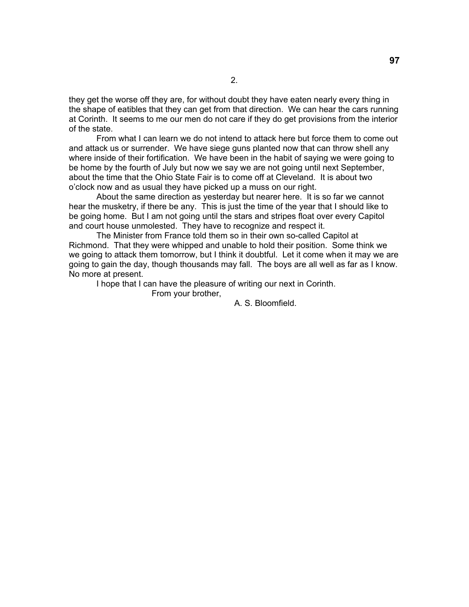they get the worse off they are, for without doubt they have eaten nearly every thing in the shape of eatibles that they can get from that direction. We can hear the cars running at Corinth. It seems to me our men do not care if they do get provisions from the interior of the state.

 From what I can learn we do not intend to attack here but force them to come out and attack us or surrender. We have siege guns planted now that can throw shell any where inside of their fortification. We have been in the habit of saying we were going to be home by the fourth of July but now we say we are not going until next September, about the time that the Ohio State Fair is to come off at Cleveland. It is about two o'clock now and as usual they have picked up a muss on our right.

 About the same direction as yesterday but nearer here. It is so far we cannot hear the musketry, if there be any. This is just the time of the year that I should like to be going home. But I am not going until the stars and stripes float over every Capitol and court house unmolested. They have to recognize and respect it.

 The Minister from France told them so in their own so-called Capitol at Richmond. That they were whipped and unable to hold their position. Some think we we going to attack them tomorrow, but I think it doubtful. Let it come when it may we are going to gain the day, though thousands may fall. The boys are all well as far as I know. No more at present.

I hope that I can have the pleasure of writing our next in Corinth.

From your brother,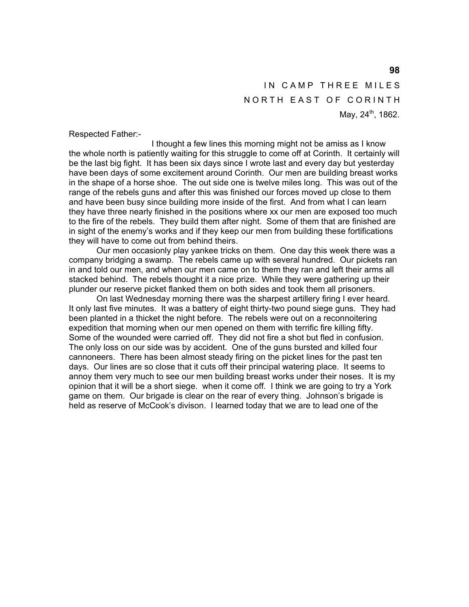IN CAMP THREE MILES NORTH EAST OF CORINTH May, 24<sup>th</sup>, 1862.

Respected Father:-

 I thought a few lines this morning might not be amiss as I know the whole north is patiently waiting for this struggle to come off at Corinth. It certainly will be the last big fight. It has been six days since I wrote last and every day but yesterday have been days of some excitement around Corinth. Our men are building breast works in the shape of a horse shoe. The out side one is twelve miles long. This was out of the range of the rebels guns and after this was finished our forces moved up close to them and have been busy since building more inside of the first. And from what I can learn they have three nearly finished in the positions where xx our men are exposed too much to the fire of the rebels. They build them after night. Some of them that are finished are in sight of the enemy's works and if they keep our men from building these fortifications they will have to come out from behind theirs.

 Our men occasionly play yankee tricks on them. One day this week there was a company bridging a swamp. The rebels came up with several hundred. Our pickets ran in and told our men, and when our men came on to them they ran and left their arms all stacked behind. The rebels thought it a nice prize. While they were gathering up their plunder our reserve picket flanked them on both sides and took them all prisoners.

 On last Wednesday morning there was the sharpest artillery firing I ever heard. It only last five minutes. It was a battery of eight thirty-two pound siege guns. They had been planted in a thicket the night before. The rebels were out on a reconnoitering expedition that morning when our men opened on them with terrific fire killing fifty. Some of the wounded were carried off. They did not fire a shot but fled in confusion. The only loss on our side was by accident. One of the guns bursted and killed four cannoneers. There has been almost steady firing on the picket lines for the past ten days. Our lines are so close that it cuts off their principal watering place. It seems to annoy them very much to see our men building breast works under their noses. It is my opinion that it will be a short siege. when it come off. I think we are going to try a York game on them. Our brigade is clear on the rear of every thing. Johnson's brigade is held as reserve of McCook's divison. I learned today that we are to lead one of the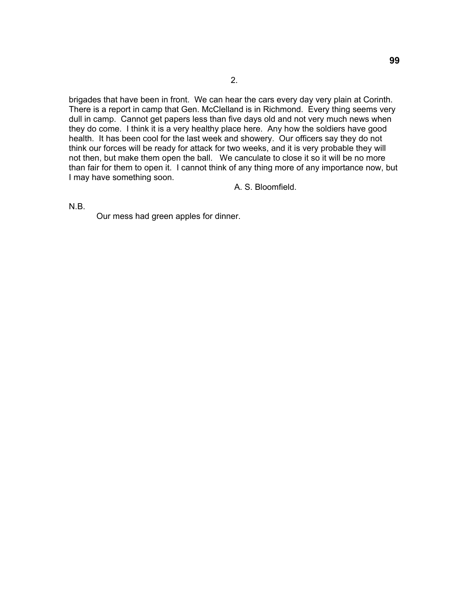2.

brigades that have been in front. We can hear the cars every day very plain at Corinth. There is a report in camp that Gen. McClelland is in Richmond. Every thing seems very dull in camp. Cannot get papers less than five days old and not very much news when they do come. I think it is a very healthy place here. Any how the soldiers have good health. It has been cool for the last week and showery. Our officers say they do not think our forces will be ready for attack for two weeks, and it is very probable they will not then, but make them open the ball. We canculate to close it so it will be no more than fair for them to open it. I cannot think of any thing more of any importance now, but I may have something soon.

A. S. Bloomfield.

N.B.

Our mess had green apples for dinner.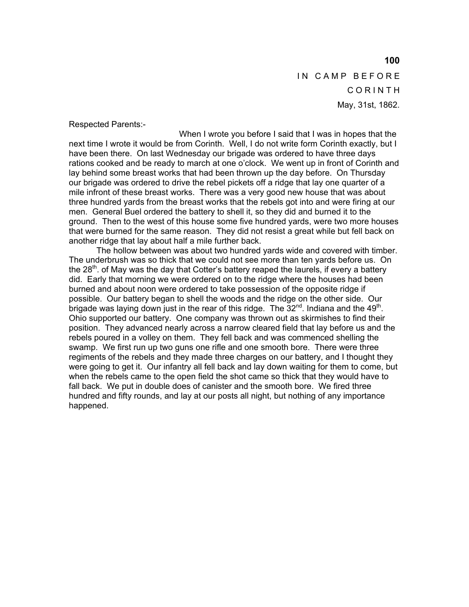IN CAMP BEFORE C O R I N T H May, 31st, 1862.

Respected Parents:-

 When I wrote you before I said that I was in hopes that the next time I wrote it would be from Corinth. Well, I do not write form Corinth exactly, but I have been there. On last Wednesday our brigade was ordered to have three days rations cooked and be ready to march at one o'clock. We went up in front of Corinth and lay behind some breast works that had been thrown up the day before. On Thursday our brigade was ordered to drive the rebel pickets off a ridge that lay one quarter of a mile infront of these breast works. There was a very good new house that was about three hundred yards from the breast works that the rebels got into and were firing at our men. General Buel ordered the battery to shell it, so they did and burned it to the ground. Then to the west of this house some five hundred yards, were two more houses that were burned for the same reason. They did not resist a great while but fell back on another ridge that lay about half a mile further back.

 The hollow between was about two hundred yards wide and covered with timber. The underbrush was so thick that we could not see more than ten yards before us. On the 28<sup>th</sup>. of May was the day that Cotter's battery reaped the laurels, if every a battery did. Early that morning we were ordered on to the ridge where the houses had been burned and about noon were ordered to take possession of the opposite ridge if possible. Our battery began to shell the woods and the ridge on the other side. Our brigade was laying down just in the rear of this ridge. The  $32<sup>nd</sup>$ . Indiana and the 49<sup>th</sup>. Ohio supported our battery. One company was thrown out as skirmishes to find their position. They advanced nearly across a narrow cleared field that lay before us and the rebels poured in a volley on them. They fell back and was commenced shelling the swamp. We first run up two guns one rifle and one smooth bore. There were three regiments of the rebels and they made three charges on our battery, and I thought they were going to get it. Our infantry all fell back and lay down waiting for them to come, but when the rebels came to the open field the shot came so thick that they would have to fall back. We put in double does of canister and the smooth bore. We fired three hundred and fifty rounds, and lay at our posts all night, but nothing of any importance happened.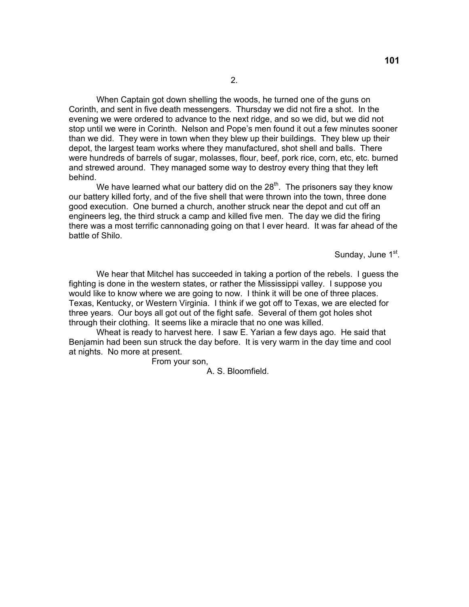When Captain got down shelling the woods, he turned one of the guns on Corinth, and sent in five death messengers. Thursday we did not fire a shot. In the evening we were ordered to advance to the next ridge, and so we did, but we did not stop until we were in Corinth. Nelson and Pope's men found it out a few minutes sooner than we did. They were in town when they blew up their buildings. They blew up their depot, the largest team works where they manufactured, shot shell and balls. There were hundreds of barrels of sugar, molasses, flour, beef, pork rice, corn, etc, etc. burned and strewed around. They managed some way to destroy every thing that they left behind.

We have learned what our battery did on the  $28<sup>th</sup>$ . The prisoners say they know our battery killed forty, and of the five shell that were thrown into the town, three done good execution. One burned a church, another struck near the depot and cut off an engineers leg, the third struck a camp and killed five men. The day we did the firing there was a most terrific cannonading going on that I ever heard. It was far ahead of the battle of Shilo.

Sunday, June 1<sup>st</sup>.

 We hear that Mitchel has succeeded in taking a portion of the rebels. I guess the fighting is done in the western states, or rather the Mississippi valley. I suppose you would like to know where we are going to now. I think it will be one of three places. Texas, Kentucky, or Western Virginia. I think if we got off to Texas, we are elected for three years. Our boys all got out of the fight safe. Several of them got holes shot through their clothing. It seems like a miracle that no one was killed.

 Wheat is ready to harvest here. I saw E. Yarian a few days ago. He said that Benjamin had been sun struck the day before. It is very warm in the day time and cool at nights. No more at present.

From your son,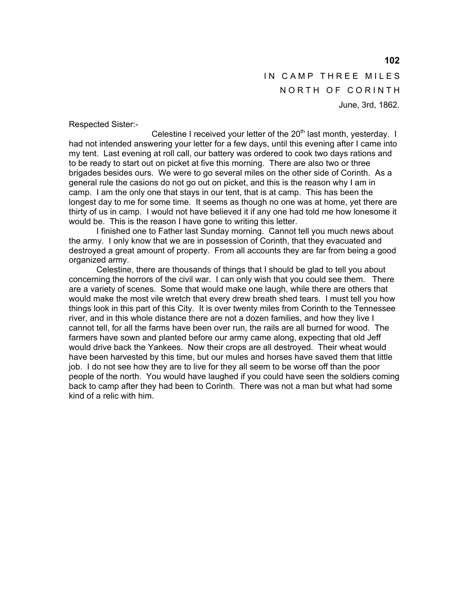IN CAMP THREE MILES NORTH OF CORINTH June, 3rd, 1862.

Respected Sister:-

Celestine I received your letter of the  $20<sup>th</sup>$  last month, yesterday. I had not intended answering your letter for a few days, until this evening after I came into my tent. Last evening at roll call, our battery was ordered to cook two days rations and to be ready to start out on picket at five this morning. There are also two or three brigades besides ours. We were to go several miles on the other side of Corinth. As a general rule the casions do not go out on picket, and this is the reason why I am in camp. I am the only one that stays in our tent, that is at camp. This has been the longest day to me for some time. It seems as though no one was at home, yet there are thirty of us in camp. I would not have believed it if any one had told me how lonesome it would be. This is the reason I have gone to writing this letter.

 I finished one to Father last Sunday morning. Cannot tell you much news about the army. I only know that we are in possession of Corinth, that they evacuated and destroyed a great amount of property. From all accounts they are far from being a good organized army.

 Celestine, there are thousands of things that I should be glad to tell you about concerning the horrors of the civil war. I can only wish that you could see them. There are a variety of scenes. Some that would make one laugh, while there are others that would make the most vile wretch that every drew breath shed tears. I must tell you how things look in this part of this City. It is over twenty miles from Corinth to the Tennessee river, and in this whole distance there are not a dozen families, and how they live I cannot tell, for all the farms have been over run, the rails are all burned for wood. The farmers have sown and planted before our army came along, expecting that old Jeff would drive back the Yankees. Now their crops are all destroyed. Their wheat would have been harvested by this time, but our mules and horses have saved them that little job. I do not see how they are to live for they all seem to be worse off than the poor people of the north. You would have laughed if you could have seen the soldiers coming back to camp after they had been to Corinth. There was not a man but what had some kind of a relic with him.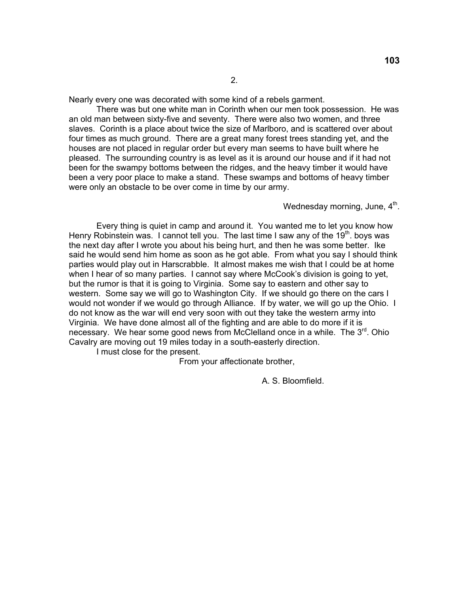Nearly every one was decorated with some kind of a rebels garment.

 There was but one white man in Corinth when our men took possession. He was an old man between sixty-five and seventy. There were also two women, and three slaves. Corinth is a place about twice the size of Marlboro, and is scattered over about four times as much ground. There are a great many forest trees standing yet, and the houses are not placed in regular order but every man seems to have built where he pleased. The surrounding country is as level as it is around our house and if it had not been for the swampy bottoms between the ridges, and the heavy timber it would have been a very poor place to make a stand. These swamps and bottoms of heavy timber were only an obstacle to be over come in time by our army.

Wednesday morning, June, 4<sup>th</sup>.

 Every thing is quiet in camp and around it. You wanted me to let you know how Henry Robinstein was. I cannot tell you. The last time I saw any of the 19<sup>th</sup>. boys was the next day after I wrote you about his being hurt, and then he was some better. Ike said he would send him home as soon as he got able. From what you say I should think parties would play out in Harscrabble. It almost makes me wish that I could be at home when I hear of so many parties. I cannot say where McCook's division is going to yet, but the rumor is that it is going to Virginia. Some say to eastern and other say to western. Some say we will go to Washington City. If we should go there on the cars I would not wonder if we would go through Alliance. If by water, we will go up the Ohio. I do not know as the war will end very soon with out they take the western army into Virginia. We have done almost all of the fighting and are able to do more if it is necessary. We hear some good news from McClelland once in a while. The  $3<sup>rd</sup>$ . Ohio Cavalry are moving out 19 miles today in a south-easterly direction.

I must close for the present.

From your affectionate brother,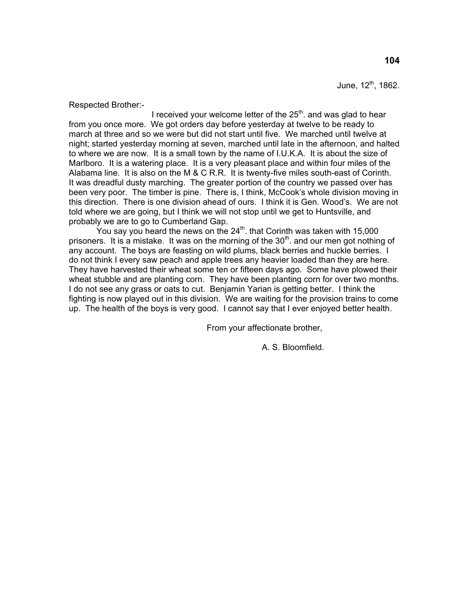June,  $12^{th}$ , 1862.

Respected Brother:-

I received your welcome letter of the  $25<sup>th</sup>$  and was glad to hear from you once more. We got orders day before yesterday at twelve to be ready to march at three and so we were but did not start until five. We marched until twelve at night; started yesterday morning at seven, marched until late in the afternoon, and halted to where we are now. It is a small town by the name of I.U.K.A. It is about the size of Marlboro. It is a watering place. It is a very pleasant place and within four miles of the Alabama line. It is also on the M & C R.R. It is twenty-five miles south-east of Corinth. It was dreadful dusty marching. The greater portion of the country we passed over has been very poor. The timber is pine. There is, I think, McCook's whole division moving in this direction. There is one division ahead of ours. I think it is Gen. Wood's. We are not told where we are going, but I think we will not stop until we get to Huntsville, and probably we are to go to Cumberland Gap.

You say you heard the news on the  $24<sup>th</sup>$ . that Corinth was taken with 15,000 prisoners. It is a mistake. It was on the morning of the  $30<sup>th</sup>$  and our men got nothing of any account. The boys are feasting on wild plums, black berries and huckle berries. I do not think I every saw peach and apple trees any heavier loaded than they are here. They have harvested their wheat some ten or fifteen days ago. Some have plowed their wheat stubble and are planting corn. They have been planting corn for over two months. I do not see any grass or oats to cut. Benjamin Yarian is getting better. I think the fighting is now played out in this division. We are waiting for the provision trains to come up. The health of the boys is very good. I cannot say that I ever enjoyed better health.

From your affectionate brother,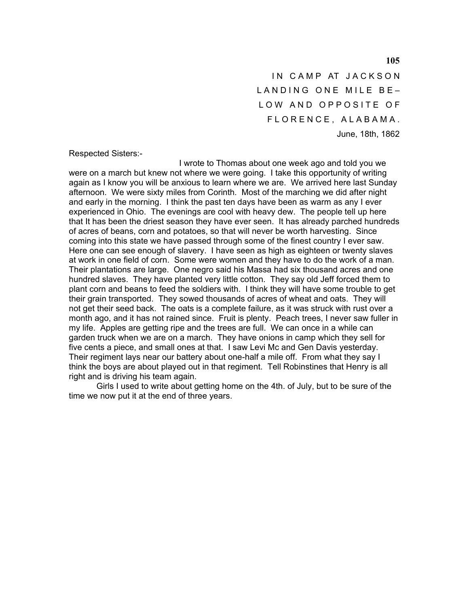IN CAMP AT JACKSON LANDING ONE MILE BE-LOW AND OPPOSITE OF F L O R E N C E , A L A B A M A . June, 18th, 1862

Respected Sisters:-

 I wrote to Thomas about one week ago and told you we were on a march but knew not where we were going. I take this opportunity of writing again as I know you will be anxious to learn where we are. We arrived here last Sunday afternoon. We were sixty miles from Corinth. Most of the marching we did after night and early in the morning. I think the past ten days have been as warm as any I ever experienced in Ohio. The evenings are cool with heavy dew. The people tell up here that It has been the driest season they have ever seen. It has already parched hundreds of acres of beans, corn and potatoes, so that will never be worth harvesting. Since coming into this state we have passed through some of the finest country I ever saw. Here one can see enough of slavery. I have seen as high as eighteen or twenty slaves at work in one field of corn. Some were women and they have to do the work of a man. Their plantations are large. One negro said his Massa had six thousand acres and one hundred slaves. They have planted very little cotton. They say old Jeff forced them to plant corn and beans to feed the soldiers with. I think they will have some trouble to get their grain transported. They sowed thousands of acres of wheat and oats. They will not get their seed back. The oats is a complete failure, as it was struck with rust over a month ago, and it has not rained since. Fruit is plenty. Peach trees, I never saw fuller in my life. Apples are getting ripe and the trees are full. We can once in a while can garden truck when we are on a march. They have onions in camp which they sell for five cents a piece, and small ones at that. I saw Levi Mc and Gen Davis yesterday. Their regiment lays near our battery about one-half a mile off. From what they say I think the boys are about played out in that regiment. Tell Robinstines that Henry is all right and is driving his team again.

 Girls I used to write about getting home on the 4th. of July, but to be sure of the time we now put it at the end of three years.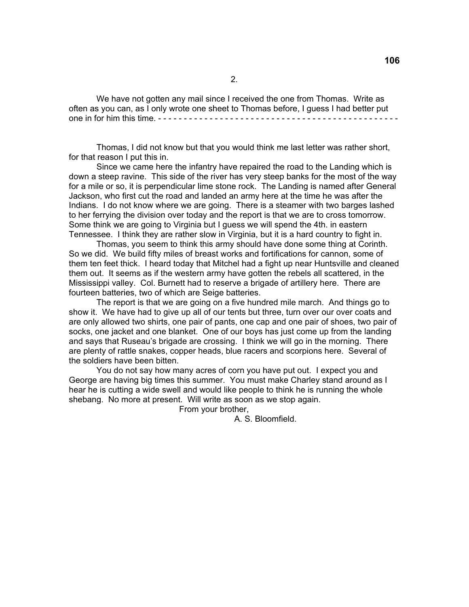We have not gotten any mail since I received the one from Thomas. Write as often as you can, as I only wrote one sheet to Thomas before, I guess I had better put one in for him this time. - - - - - - - - - - - - - - - - - - - - - - - - - - - - - - - - - - - - - - - - - - - - - - -

 Thomas, I did not know but that you would think me last letter was rather short, for that reason I put this in.

 Since we came here the infantry have repaired the road to the Landing which is down a steep ravine. This side of the river has very steep banks for the most of the way for a mile or so, it is perpendicular lime stone rock. The Landing is named after General Jackson, who first cut the road and landed an army here at the time he was after the Indians. I do not know where we are going. There is a steamer with two barges lashed to her ferrying the division over today and the report is that we are to cross tomorrow. Some think we are going to Virginia but I guess we will spend the 4th. in eastern Tennessee. I think they are rather slow in Virginia, but it is a hard country to fight in.

 Thomas, you seem to think this army should have done some thing at Corinth. So we did. We build fifty miles of breast works and fortifications for cannon, some of them ten feet thick. I heard today that Mitchel had a fight up near Huntsville and cleaned them out. It seems as if the western army have gotten the rebels all scattered, in the Mississippi valley. Col. Burnett had to reserve a brigade of artillery here. There are fourteen batteries, two of which are Seige batteries.

 The report is that we are going on a five hundred mile march. And things go to show it. We have had to give up all of our tents but three, turn over our over coats and are only allowed two shirts, one pair of pants, one cap and one pair of shoes, two pair of socks, one jacket and one blanket. One of our boys has just come up from the landing and says that Ruseau's brigade are crossing. I think we will go in the morning. There are plenty of rattle snakes, copper heads, blue racers and scorpions here. Several of the soldiers have been bitten.

 You do not say how many acres of corn you have put out. I expect you and George are having big times this summer. You must make Charley stand around as I hear he is cutting a wide swell and would like people to think he is running the whole shebang. No more at present. Will write as soon as we stop again.

From your brother,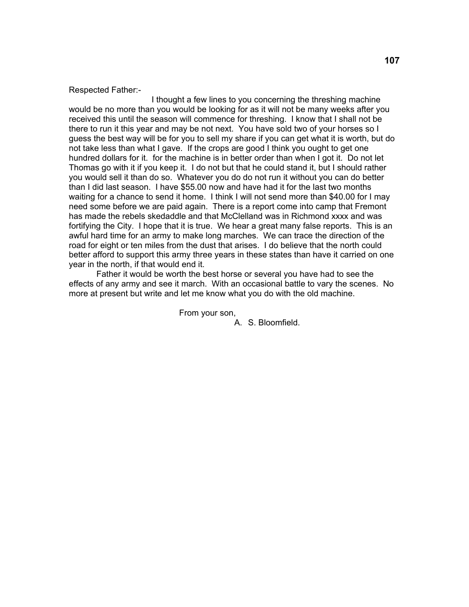#### Respected Father:-

 I thought a few lines to you concerning the threshing machine would be no more than you would be looking for as it will not be many weeks after you received this until the season will commence for threshing. I know that I shall not be there to run it this year and may be not next. You have sold two of your horses so I guess the best way will be for you to sell my share if you can get what it is worth, but do not take less than what I gave. If the crops are good I think you ought to get one hundred dollars for it. for the machine is in better order than when I got it. Do not let Thomas go with it if you keep it. I do not but that he could stand it, but I should rather you would sell it than do so. Whatever you do do not run it without you can do better than I did last season. I have \$55.00 now and have had it for the last two months waiting for a chance to send it home. I think I will not send more than \$40.00 for I may need some before we are paid again. There is a report come into camp that Fremont has made the rebels skedaddle and that McClelland was in Richmond xxxx and was fortifying the City. I hope that it is true. We hear a great many false reports. This is an awful hard time for an army to make long marches. We can trace the direction of the road for eight or ten miles from the dust that arises. I do believe that the north could better afford to support this army three years in these states than have it carried on one year in the north, if that would end it.

 Father it would be worth the best horse or several you have had to see the effects of any army and see it march. With an occasional battle to vary the scenes. No more at present but write and let me know what you do with the old machine.

> From your son, A. S. Bloomfield.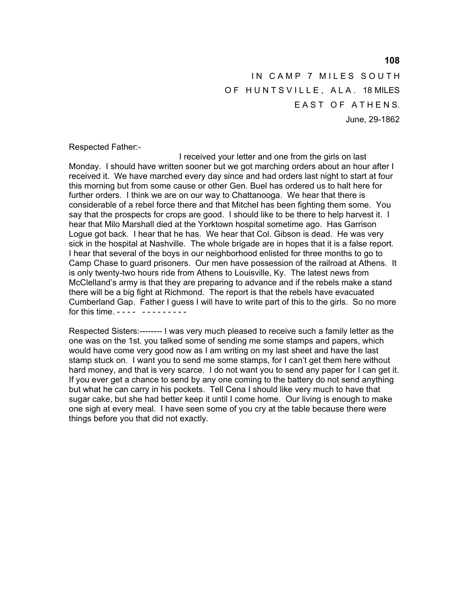IN CAMP 7 MILES SOUTH OF HUNTSVILLE, ALA. 18 MILES EAST OF ATHENS. June, 29-1862

Respected Father:-

 I received your letter and one from the girls on last Monday. I should have written sooner but we got marching orders about an hour after I received it. We have marched every day since and had orders last night to start at four this morning but from some cause or other Gen. Buel has ordered us to halt here for further orders. I think we are on our way to Chattanooga. We hear that there is considerable of a rebel force there and that Mitchel has been fighting them some. You say that the prospects for crops are good. I should like to be there to help harvest it. I hear that Milo Marshall died at the Yorktown hospital sometime ago. Has Garrison Logue got back. I hear that he has. We hear that Col. Gibson is dead. He was very sick in the hospital at Nashville. The whole brigade are in hopes that it is a false report. I hear that several of the boys in our neighborhood enlisted for three months to go to Camp Chase to guard prisoners. Our men have possession of the railroad at Athens. It is only twenty-two hours ride from Athens to Louisville, Ky. The latest news from McClelland's army is that they are preparing to advance and if the rebels make a stand there will be a big fight at Richmond. The report is that the rebels have evacuated Cumberland Gap. Father I guess I will have to write part of this to the girls. So no more for this time. - - - - - - - - - - - - -

Respected Sisters:-------- I was very much pleased to receive such a family letter as the one was on the 1st. you talked some of sending me some stamps and papers, which would have come very good now as I am writing on my last sheet and have the last stamp stuck on. I want you to send me some stamps, for I can't get them here without hard money, and that is very scarce. I do not want you to send any paper for I can get it. If you ever get a chance to send by any one coming to the battery do not send anything but what he can carry in his pockets. Tell Cena I should like very much to have that sugar cake, but she had better keep it until I come home. Our living is enough to make one sigh at every meal. I have seen some of you cry at the table because there were things before you that did not exactly.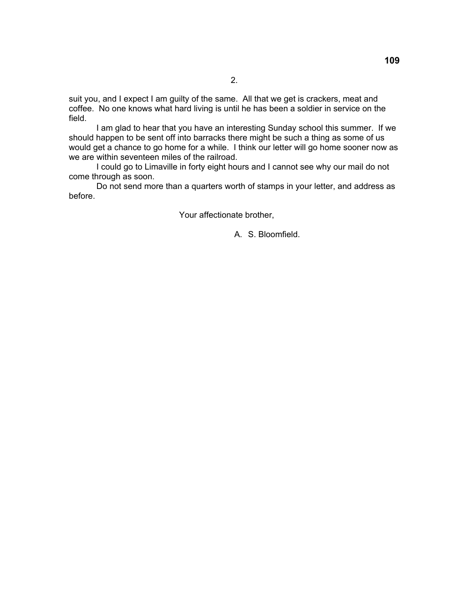suit you, and I expect I am guilty of the same. All that we get is crackers, meat and coffee. No one knows what hard living is until he has been a soldier in service on the field.

 I am glad to hear that you have an interesting Sunday school this summer. If we should happen to be sent off into barracks there might be such a thing as some of us would get a chance to go home for a while. I think our letter will go home sooner now as we are within seventeen miles of the railroad.

 I could go to Limaville in forty eight hours and I cannot see why our mail do not come through as soon.

 Do not send more than a quarters worth of stamps in your letter, and address as before.

Your affectionate brother,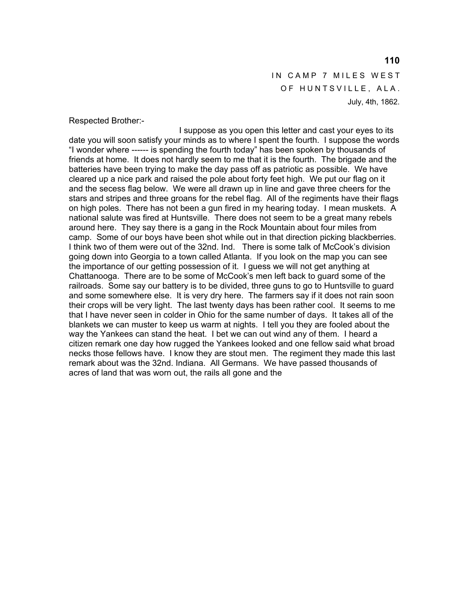IN CAMP 7 MILES WEST OF HUNTSVILLE, ALA. July, 4th, 1862.

Respected Brother:-

 I suppose as you open this letter and cast your eyes to its date you will soon satisfy your minds as to where I spent the fourth. I suppose the words "I wonder where ------ is spending the fourth today" has been spoken by thousands of friends at home. It does not hardly seem to me that it is the fourth. The brigade and the batteries have been trying to make the day pass off as patriotic as possible. We have cleared up a nice park and raised the pole about forty feet high. We put our flag on it and the secess flag below. We were all drawn up in line and gave three cheers for the stars and stripes and three groans for the rebel flag. All of the regiments have their flags on high poles. There has not been a gun fired in my hearing today. I mean muskets. A national salute was fired at Huntsville. There does not seem to be a great many rebels around here. They say there is a gang in the Rock Mountain about four miles from camp. Some of our boys have been shot while out in that direction picking blackberries. I think two of them were out of the 32nd. Ind. There is some talk of McCook's division going down into Georgia to a town called Atlanta. If you look on the map you can see the importance of our getting possession of it. I guess we will not get anything at Chattanooga. There are to be some of McCook's men left back to guard some of the railroads. Some say our battery is to be divided, three guns to go to Huntsville to guard and some somewhere else. It is very dry here. The farmers say if it does not rain soon their crops will be very light. The last twenty days has been rather cool. It seems to me that I have never seen in colder in Ohio for the same number of days. It takes all of the blankets we can muster to keep us warm at nights. I tell you they are fooled about the way the Yankees can stand the heat. I bet we can out wind any of them. I heard a citizen remark one day how rugged the Yankees looked and one fellow said what broad necks those fellows have. I know they are stout men. The regiment they made this last remark about was the 32nd. Indiana. All Germans. We have passed thousands of acres of land that was worn out, the rails all gone and the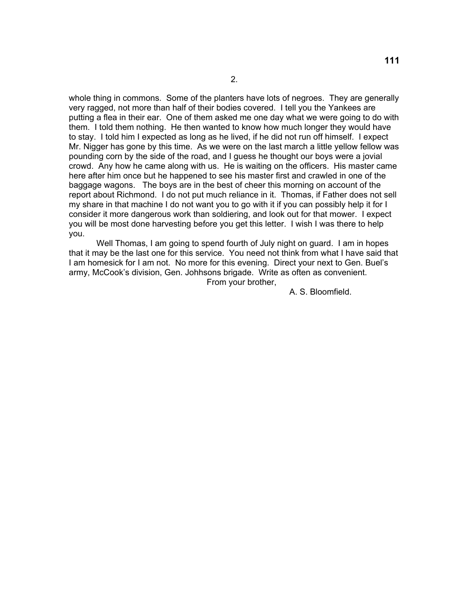whole thing in commons. Some of the planters have lots of negroes. They are generally very ragged, not more than half of their bodies covered. I tell you the Yankees are putting a flea in their ear. One of them asked me one day what we were going to do with them. I told them nothing. He then wanted to know how much longer they would have to stay. I told him I expected as long as he lived, if he did not run off himself. I expect Mr. Nigger has gone by this time. As we were on the last march a little yellow fellow was pounding corn by the side of the road, and I guess he thought our boys were a jovial crowd. Any how he came along with us. He is waiting on the officers. His master came here after him once but he happened to see his master first and crawled in one of the baggage wagons. The boys are in the best of cheer this morning on account of the report about Richmond. I do not put much reliance in it. Thomas, if Father does not sell my share in that machine I do not want you to go with it if you can possibly help it for I consider it more dangerous work than soldiering, and look out for that mower. I expect you will be most done harvesting before you get this letter. I wish I was there to help you.

 Well Thomas, I am going to spend fourth of July night on guard. I am in hopes that it may be the last one for this service. You need not think from what I have said that I am homesick for I am not. No more for this evening. Direct your next to Gen. Buel's army, McCook's division, Gen. Johhsons brigade. Write as often as convenient.

From your brother,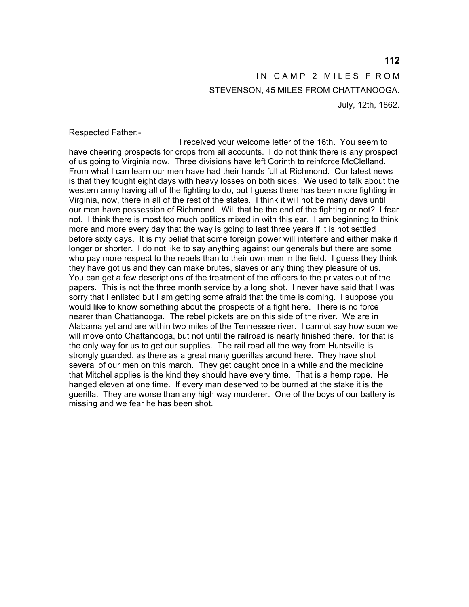# IN CAMP 2 MILES F ROM STEVENSON, 45 MILES FROM CHATTANOOGA. July, 12th, 1862.

Respected Father:-

 I received your welcome letter of the 16th. You seem to have cheering prospects for crops from all accounts. I do not think there is any prospect of us going to Virginia now. Three divisions have left Corinth to reinforce McClelland. From what I can learn our men have had their hands full at Richmond. Our latest news is that they fought eight days with heavy losses on both sides. We used to talk about the western army having all of the fighting to do, but I guess there has been more fighting in Virginia, now, there in all of the rest of the states. I think it will not be many days until our men have possession of Richmond. Will that be the end of the fighting or not? I fear not. I think there is most too much politics mixed in with this ear. I am beginning to think more and more every day that the way is going to last three years if it is not settled before sixty days. It is my belief that some foreign power will interfere and either make it longer or shorter. I do not like to say anything against our generals but there are some who pay more respect to the rebels than to their own men in the field. I guess they think they have got us and they can make brutes, slaves or any thing they pleasure of us. You can get a few descriptions of the treatment of the officers to the privates out of the papers. This is not the three month service by a long shot. I never have said that I was sorry that I enlisted but I am getting some afraid that the time is coming. I suppose you would like to know something about the prospects of a fight here. There is no force nearer than Chattanooga. The rebel pickets are on this side of the river. We are in Alabama yet and are within two miles of the Tennessee river. I cannot say how soon we will move onto Chattanooga, but not until the railroad is nearly finished there. for that is the only way for us to get our supplies. The rail road all the way from Huntsville is strongly guarded, as there as a great many guerillas around here. They have shot several of our men on this march. They get caught once in a while and the medicine that Mitchel applies is the kind they should have every time. That is a hemp rope. He hanged eleven at one time. If every man deserved to be burned at the stake it is the guerilla. They are worse than any high way murderer. One of the boys of our battery is missing and we fear he has been shot.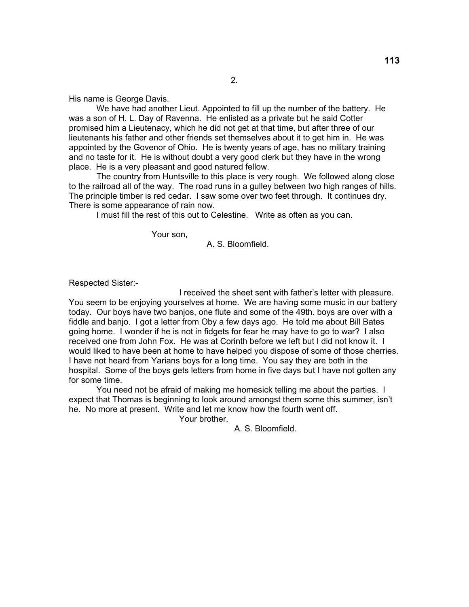His name is George Davis.

 We have had another Lieut. Appointed to fill up the number of the battery. He was a son of H. L. Day of Ravenna. He enlisted as a private but he said Cotter promised him a Lieutenacy, which he did not get at that time, but after three of our lieutenants his father and other friends set themselves about it to get him in. He was appointed by the Govenor of Ohio. He is twenty years of age, has no military training and no taste for it. He is without doubt a very good clerk but they have in the wrong place. He is a very pleasant and good natured fellow.

 The country from Huntsville to this place is very rough. We followed along close to the railroad all of the way. The road runs in a gulley between two high ranges of hills. The principle timber is red cedar. I saw some over two feet through. It continues dry. There is some appearance of rain now.

I must fill the rest of this out to Celestine. Write as often as you can.

Your son,

A. S. Bloomfield.

Respected Sister:-

 I received the sheet sent with father's letter with pleasure. You seem to be enjoying yourselves at home. We are having some music in our battery today. Our boys have two banjos, one flute and some of the 49th. boys are over with a fiddle and banjo. I got a letter from Oby a few days ago. He told me about Bill Bates going home. I wonder if he is not in fidgets for fear he may have to go to war? I also received one from John Fox. He was at Corinth before we left but I did not know it. I would liked to have been at home to have helped you dispose of some of those cherries. I have not heard from Yarians boys for a long time. You say they are both in the hospital. Some of the boys gets letters from home in five days but I have not gotten any for some time.

 You need not be afraid of making me homesick telling me about the parties. I expect that Thomas is beginning to look around amongst them some this summer, isn't he. No more at present. Write and let me know how the fourth went off.

Your brother,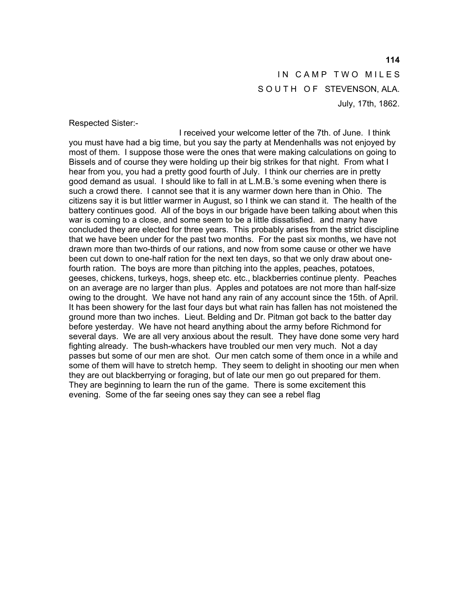IN CAMP TWO MILES SOUTH OF STEVENSON, ALA. July, 17th, 1862.

Respected Sister:-

 I received your welcome letter of the 7th. of June. I think you must have had a big time, but you say the party at Mendenhalls was not enjoyed by most of them. I suppose those were the ones that were making calculations on going to Bissels and of course they were holding up their big strikes for that night. From what I hear from you, you had a pretty good fourth of July. I think our cherries are in pretty good demand as usual. I should like to fall in at L.M.B.'s some evening when there is such a crowd there. I cannot see that it is any warmer down here than in Ohio. The citizens say it is but littler warmer in August, so I think we can stand it. The health of the battery continues good. All of the boys in our brigade have been talking about when this war is coming to a close, and some seem to be a little dissatisfied. and many have concluded they are elected for three years. This probably arises from the strict discipline that we have been under for the past two months. For the past six months, we have not drawn more than two-thirds of our rations, and now from some cause or other we have been cut down to one-half ration for the next ten days, so that we only draw about onefourth ration. The boys are more than pitching into the apples, peaches, potatoes, geeses, chickens, turkeys, hogs, sheep etc. etc., blackberries continue plenty. Peaches on an average are no larger than plus. Apples and potatoes are not more than half-size owing to the drought. We have not hand any rain of any account since the 15th. of April. It has been showery for the last four days but what rain has fallen has not moistened the ground more than two inches. Lieut. Belding and Dr. Pitman got back to the batter day before yesterday. We have not heard anything about the army before Richmond for several days. We are all very anxious about the result. They have done some very hard fighting already. The bush-whackers have troubled our men very much. Not a day passes but some of our men are shot. Our men catch some of them once in a while and some of them will have to stretch hemp. They seem to delight in shooting our men when they are out blackberrying or foraging, but of late our men go out prepared for them. They are beginning to learn the run of the game. There is some excitement this evening. Some of the far seeing ones say they can see a rebel flag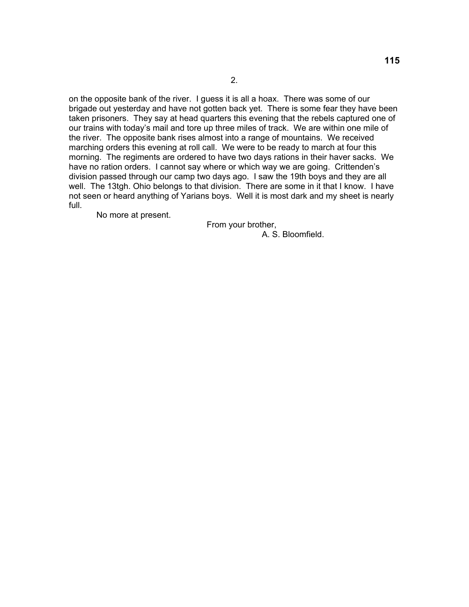on the opposite bank of the river. I guess it is all a hoax. There was some of our brigade out yesterday and have not gotten back yet. There is some fear they have been taken prisoners. They say at head quarters this evening that the rebels captured one of our trains with today's mail and tore up three miles of track. We are within one mile of the river. The opposite bank rises almost into a range of mountains. We received marching orders this evening at roll call. We were to be ready to march at four this morning. The regiments are ordered to have two days rations in their haver sacks. We have no ration orders. I cannot say where or which way we are going. Crittenden's division passed through our camp two days ago. I saw the 19th boys and they are all well. The 13tgh. Ohio belongs to that division. There are some in it that I know. I have not seen or heard anything of Yarians boys. Well it is most dark and my sheet is nearly full.

No more at present.

From your brother,

A. S. Bloomfield.

2.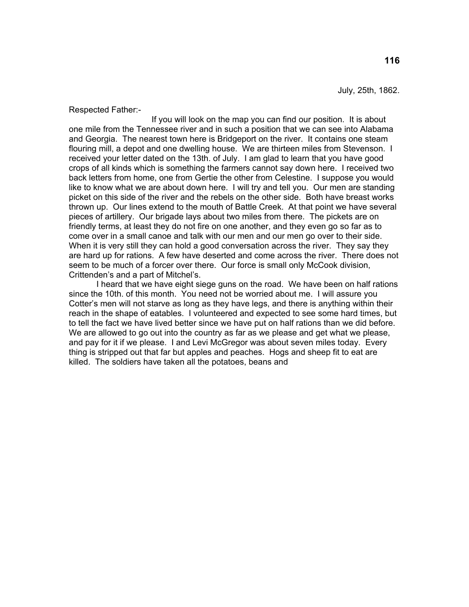July, 25th, 1862.

Respected Father:-

 If you will look on the map you can find our position. It is about one mile from the Tennessee river and in such a position that we can see into Alabama and Georgia. The nearest town here is Bridgeport on the river. It contains one steam flouring mill, a depot and one dwelling house. We are thirteen miles from Stevenson. I received your letter dated on the 13th. of July. I am glad to learn that you have good crops of all kinds which is something the farmers cannot say down here. I received two back letters from home, one from Gertie the other from Celestine. I suppose you would like to know what we are about down here. I will try and tell you. Our men are standing picket on this side of the river and the rebels on the other side. Both have breast works thrown up. Our lines extend to the mouth of Battle Creek. At that point we have several pieces of artillery. Our brigade lays about two miles from there. The pickets are on friendly terms, at least they do not fire on one another, and they even go so far as to come over in a small canoe and talk with our men and our men go over to their side. When it is very still they can hold a good conversation across the river. They say they are hard up for rations. A few have deserted and come across the river. There does not seem to be much of a forcer over there. Our force is small only McCook division, Crittenden's and a part of Mitchel's.

 I heard that we have eight siege guns on the road. We have been on half rations since the 10th. of this month. You need not be worried about me. I will assure you Cotter's men will not starve as long as they have legs, and there is anything within their reach in the shape of eatables. I volunteered and expected to see some hard times, but to tell the fact we have lived better since we have put on half rations than we did before. We are allowed to go out into the country as far as we please and get what we please, and pay for it if we please. I and Levi McGregor was about seven miles today. Every thing is stripped out that far but apples and peaches. Hogs and sheep fit to eat are killed. The soldiers have taken all the potatoes, beans and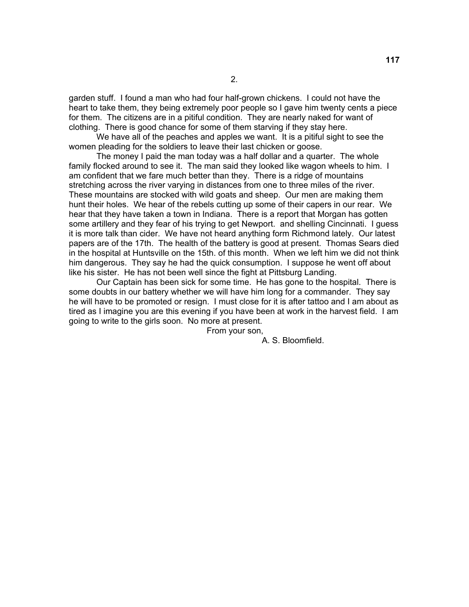garden stuff. I found a man who had four half-grown chickens. I could not have the heart to take them, they being extremely poor people so I gave him twenty cents a piece for them. The citizens are in a pitiful condition. They are nearly naked for want of clothing. There is good chance for some of them starving if they stay here.

 We have all of the peaches and apples we want. It is a pitiful sight to see the women pleading for the soldiers to leave their last chicken or goose.

 The money I paid the man today was a half dollar and a quarter. The whole family flocked around to see it. The man said they looked like wagon wheels to him. I am confident that we fare much better than they. There is a ridge of mountains stretching across the river varying in distances from one to three miles of the river. These mountains are stocked with wild goats and sheep. Our men are making them hunt their holes. We hear of the rebels cutting up some of their capers in our rear. We hear that they have taken a town in Indiana. There is a report that Morgan has gotten some artillery and they fear of his trying to get Newport. and shelling Cincinnati. I guess it is more talk than cider. We have not heard anything form Richmond lately. Our latest papers are of the 17th. The health of the battery is good at present. Thomas Sears died in the hospital at Huntsville on the 15th. of this month. When we left him we did not think him dangerous. They say he had the quick consumption. I suppose he went off about like his sister. He has not been well since the fight at Pittsburg Landing.

 Our Captain has been sick for some time. He has gone to the hospital. There is some doubts in our battery whether we will have him long for a commander. They say he will have to be promoted or resign. I must close for it is after tattoo and I am about as tired as I imagine you are this evening if you have been at work in the harvest field. I am going to write to the girls soon. No more at present.

From your son,

A. S. Bloomfield.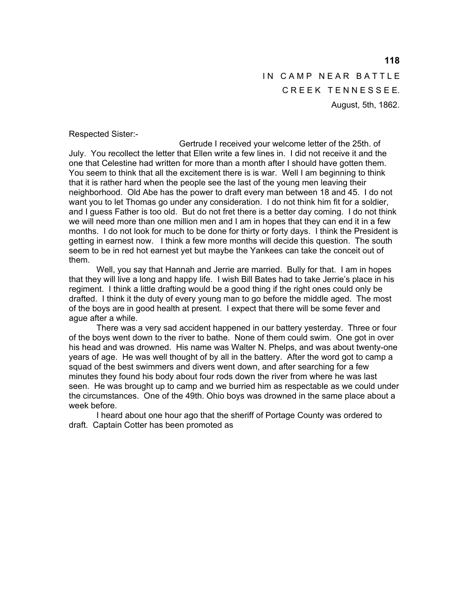IN CAMP NEAR BATTLE CREEK TENNESSEE. August, 5th, 1862.

Respected Sister:-

 Gertrude I received your welcome letter of the 25th. of July. You recollect the letter that Ellen write a few lines in. I did not receive it and the one that Celestine had written for more than a month after I should have gotten them. You seem to think that all the excitement there is is war. Well I am beginning to think that it is rather hard when the people see the last of the young men leaving their neighborhood. Old Abe has the power to draft every man between 18 and 45. I do not want you to let Thomas go under any consideration. I do not think him fit for a soldier, and I guess Father is too old. But do not fret there is a better day coming. I do not think we will need more than one million men and I am in hopes that they can end it in a few months. I do not look for much to be done for thirty or forty days. I think the President is getting in earnest now. I think a few more months will decide this question. The south seem to be in red hot earnest yet but maybe the Yankees can take the conceit out of them.

 Well, you say that Hannah and Jerrie are married. Bully for that. I am in hopes that they will live a long and happy life. I wish Bill Bates had to take Jerrie's place in his regiment. I think a little drafting would be a good thing if the right ones could only be drafted. I think it the duty of every young man to go before the middle aged. The most of the boys are in good health at present. I expect that there will be some fever and ague after a while.

 There was a very sad accident happened in our battery yesterday. Three or four of the boys went down to the river to bathe. None of them could swim. One got in over his head and was drowned. His name was Walter N. Phelps, and was about twenty-one years of age. He was well thought of by all in the battery. After the word got to camp a squad of the best swimmers and divers went down, and after searching for a few minutes they found his body about four rods down the river from where he was last seen. He was brought up to camp and we burried him as respectable as we could under the circumstances. One of the 49th. Ohio boys was drowned in the same place about a week before.

 I heard about one hour ago that the sheriff of Portage County was ordered to draft. Captain Cotter has been promoted as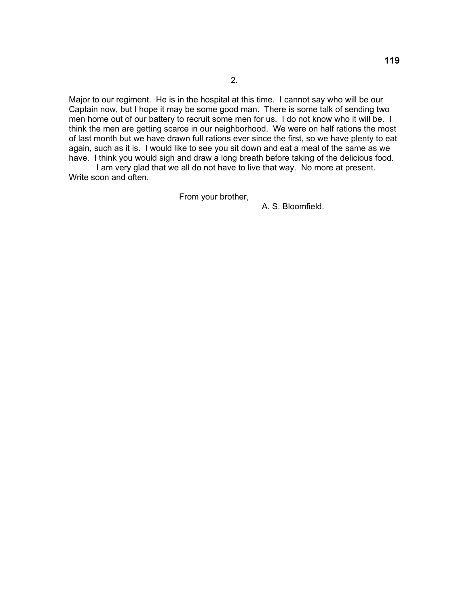2.

Major to our regiment. He is in the hospital at this time. I cannot say who will be our Captain now, but I hope it may be some good man. There is some talk of sending two men home out of our battery to recruit some men for us. I do not know who it will be. I think the men are getting scarce in our neighborhood. We were on half rations the most of last month but we have drawn full rations ever since the first, so we have plenty to eat again, such as it is. I would like to see you sit down and eat a meal of the same as we have. I think you would sigh and draw a long breath before taking of the delicious food.

 I am very glad that we all do not have to live that way. No more at present. Write soon and often.

From your brother,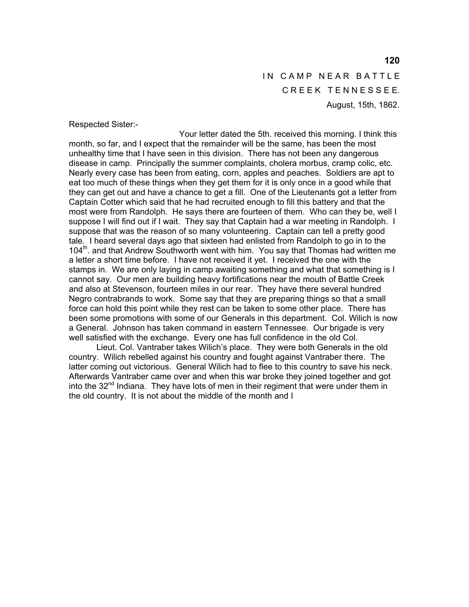IN CAMP NEAR BATTLE CREEK TENNESSEE. August, 15th, 1862.

Respected Sister:-

 Your letter dated the 5th. received this morning. I think this month, so far, and I expect that the remainder will be the same, has been the most unhealthy time that I have seen in this division. There has not been any dangerous disease in camp. Principally the summer complaints, cholera morbus, cramp colic, etc. Nearly every case has been from eating, corn, apples and peaches. Soldiers are apt to eat too much of these things when they get them for it is only once in a good while that they can get out and have a chance to get a fill. One of the Lieutenants got a letter from Captain Cotter which said that he had recruited enough to fill this battery and that the most were from Randolph. He says there are fourteen of them. Who can they be, well I suppose I will find out if I wait. They say that Captain had a war meeting in Randolph. I suppose that was the reason of so many volunteering. Captain can tell a pretty good tale. I heard several days ago that sixteen had enlisted from Randolph to go in to the 104<sup>th</sup>. and that Andrew Southworth went with him. You say that Thomas had written me a letter a short time before. I have not received it yet. I received the one with the stamps in. We are only laying in camp awaiting something and what that something is I cannot say. Our men are building heavy fortifications near the mouth of Battle Creek and also at Stevenson, fourteen miles in our rear. They have there several hundred Negro contrabrands to work. Some say that they are preparing things so that a small force can hold this point while they rest can be taken to some other place. There has been some promotions with some of our Generals in this department. Col. Wilich is now a General. Johnson has taken command in eastern Tennessee. Our brigade is very well satisfied with the exchange. Every one has full confidence in the old Col.

 Lieut. Col. Vantraber takes Wilich's place. They were both Generals in the old country. Wilich rebelled against his country and fought against Vantraber there. The latter coming out victorious. General Wilich had to flee to this country to save his neck. Afterwards Vantraber came over and when this war broke they joined together and got into the  $32<sup>nd</sup>$  Indiana. They have lots of men in their regiment that were under them in the old country. It is not about the middle of the month and I